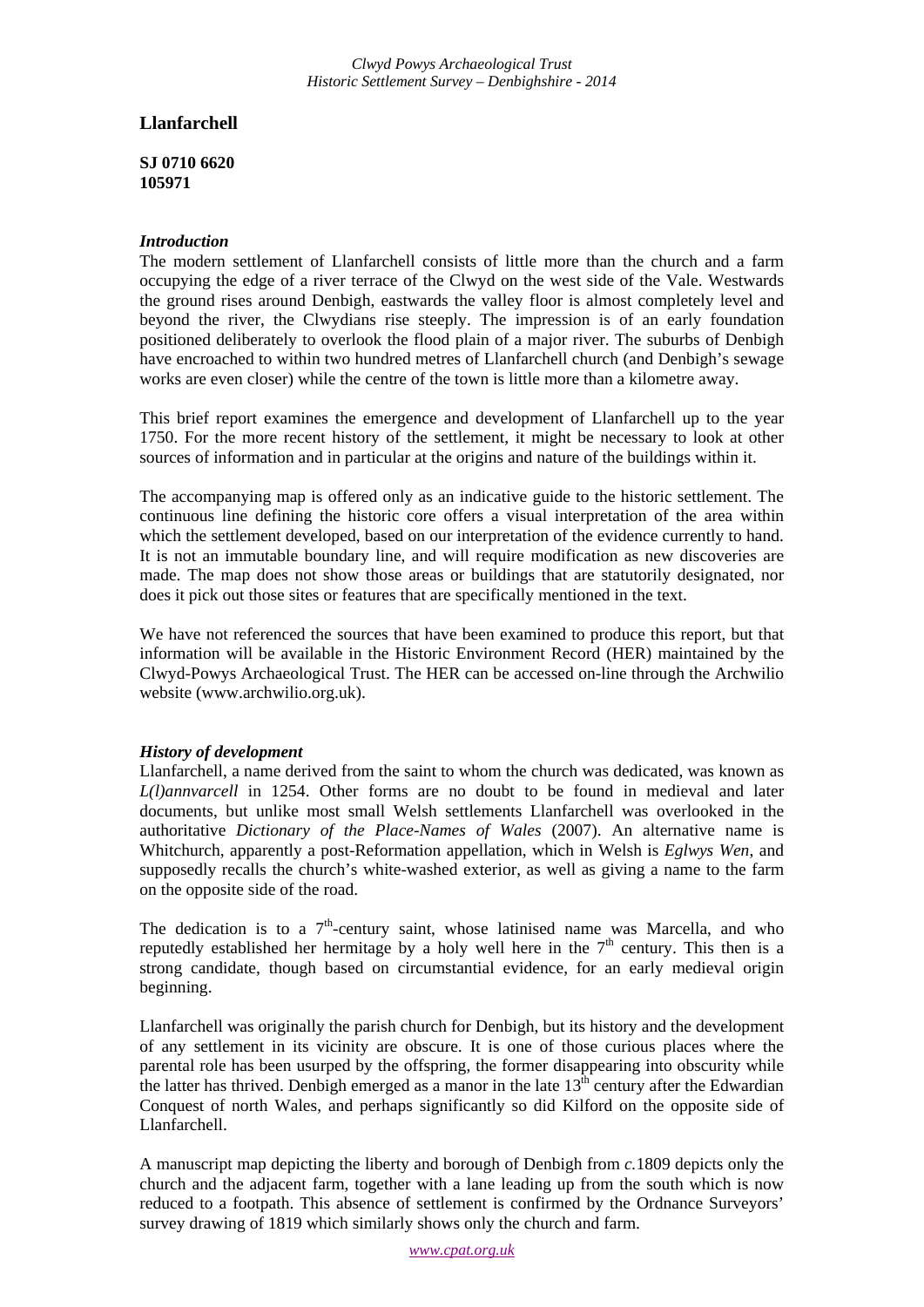# **Llanfarchell**

**SJ 0710 6620 105971**

## *Introduction*

The modern settlement of Llanfarchell consists of little more than the church and a farm occupying the edge of a river terrace of the Clwyd on the west side of the Vale. Westwards the ground rises around Denbigh, eastwards the valley floor is almost completely level and beyond the river, the Clwydians rise steeply. The impression is of an early foundation positioned deliberately to overlook the flood plain of a major river. The suburbs of Denbigh have encroached to within two hundred metres of Llanfarchell church (and Denbigh's sewage works are even closer) while the centre of the town is little more than a kilometre away.

This brief report examines the emergence and development of Llanfarchell up to the year 1750. For the more recent history of the settlement, it might be necessary to look at other sources of information and in particular at the origins and nature of the buildings within it.

The accompanying map is offered only as an indicative guide to the historic settlement. The continuous line defining the historic core offers a visual interpretation of the area within which the settlement developed, based on our interpretation of the evidence currently to hand. It is not an immutable boundary line, and will require modification as new discoveries are made. The map does not show those areas or buildings that are statutorily designated, nor does it pick out those sites or features that are specifically mentioned in the text.

We have not referenced the sources that have been examined to produce this report, but that information will be available in the Historic Environment Record (HER) maintained by the Clwyd-Powys Archaeological Trust. The HER can be accessed on-line through the Archwilio website (www.archwilio.org.uk).

### *History of development*

Llanfarchell, a name derived from the saint to whom the church was dedicated, was known as *L(l)annvarcell* in 1254. Other forms are no doubt to be found in medieval and later documents, but unlike most small Welsh settlements Llanfarchell was overlooked in the authoritative *Dictionary of the Place-Names of Wales* (2007). An alternative name is Whitchurch, apparently a post-Reformation appellation, which in Welsh is *Eglwys Wen*, and supposedly recalls the church's white-washed exterior, as well as giving a name to the farm on the opposite side of the road.

The dedication is to a  $7<sup>th</sup>$ -century saint, whose latinised name was Marcella, and who reputedly established her hermitage by a holy well here in the  $7<sup>th</sup>$  century. This then is a strong candidate, though based on circumstantial evidence, for an early medieval origin beginning.

Llanfarchell was originally the parish church for Denbigh, but its history and the development of any settlement in its vicinity are obscure. It is one of those curious places where the parental role has been usurped by the offspring, the former disappearing into obscurity while the latter has thrived. Denbigh emerged as a manor in the late  $13<sup>th</sup>$  century after the Edwardian Conquest of north Wales, and perhaps significantly so did Kilford on the opposite side of Llanfarchell.

A manuscript map depicting the liberty and borough of Denbigh from *c.*1809 depicts only the church and the adjacent farm, together with a lane leading up from the south which is now reduced to a footpath. This absence of settlement is confirmed by the Ordnance Surveyors' survey drawing of 1819 which similarly shows only the church and farm.